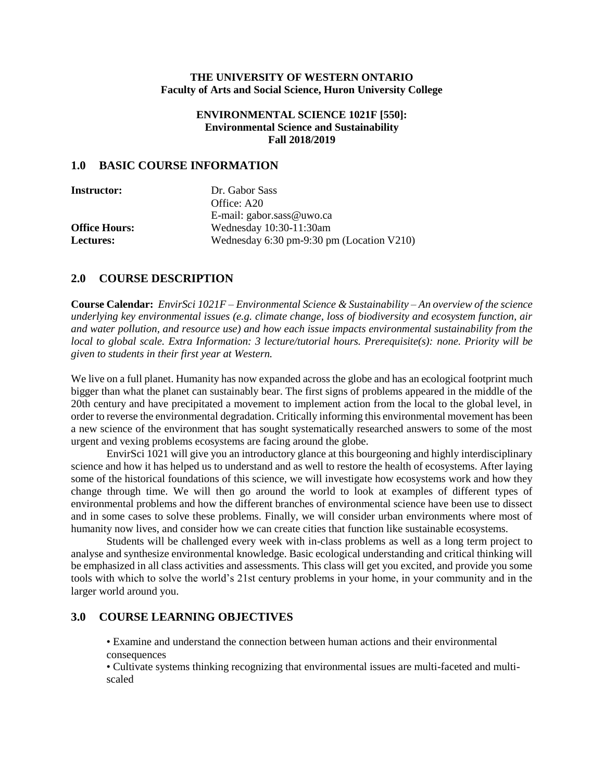#### **THE UNIVERSITY OF WESTERN ONTARIO Faculty of Arts and Social Science, Huron University College**

#### **ENVIRONMENTAL SCIENCE 1021F [550]: Environmental Science and Sustainability Fall 2018/2019**

#### **1.0 BASIC COURSE INFORMATION**

| <b>Instructor:</b>   | Dr. Gabor Sass                               |
|----------------------|----------------------------------------------|
|                      | Office: A20                                  |
|                      | E-mail: gabor.sass@uwo.ca                    |
| <b>Office Hours:</b> | Wednesday 10:30-11:30am                      |
| Lectures:            | Wednesday 6:30 pm-9:30 pm (Location $V210$ ) |

#### **2.0 COURSE DESCRIPTION**

**Course Calendar:** *EnvirSci 1021F – Environmental Science & Sustainability – An overview of the science underlying key environmental issues (e.g. climate change, loss of biodiversity and ecosystem function, air and water pollution, and resource use) and how each issue impacts environmental sustainability from the local to global scale. Extra Information: 3 lecture/tutorial hours. Prerequisite(s): none. Priority will be given to students in their first year at Western.*

We live on a full planet. Humanity has now expanded across the globe and has an ecological footprint much bigger than what the planet can sustainably bear. The first signs of problems appeared in the middle of the 20th century and have precipitated a movement to implement action from the local to the global level, in order to reverse the environmental degradation. Critically informing this environmental movement has been a new science of the environment that has sought systematically researched answers to some of the most urgent and vexing problems ecosystems are facing around the globe.

EnvirSci 1021 will give you an introductory glance at this bourgeoning and highly interdisciplinary science and how it has helped us to understand and as well to restore the health of ecosystems. After laying some of the historical foundations of this science, we will investigate how ecosystems work and how they change through time. We will then go around the world to look at examples of different types of environmental problems and how the different branches of environmental science have been use to dissect and in some cases to solve these problems. Finally, we will consider urban environments where most of humanity now lives, and consider how we can create cities that function like sustainable ecosystems.

Students will be challenged every week with in-class problems as well as a long term project to analyse and synthesize environmental knowledge. Basic ecological understanding and critical thinking will be emphasized in all class activities and assessments. This class will get you excited, and provide you some tools with which to solve the world's 21st century problems in your home, in your community and in the larger world around you.

#### **3.0 COURSE LEARNING OBJECTIVES**

• Examine and understand the connection between human actions and their environmental consequences

• Cultivate systems thinking recognizing that environmental issues are multi-faceted and multiscaled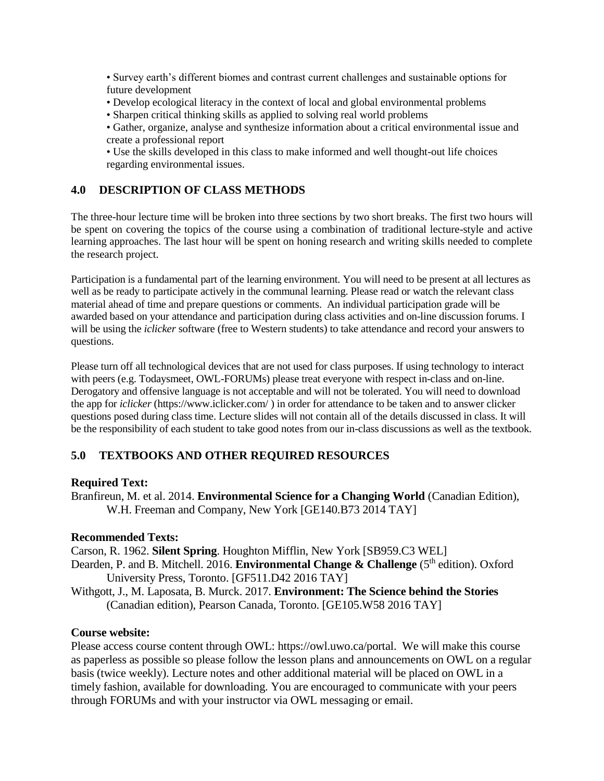• Survey earth's different biomes and contrast current challenges and sustainable options for future development

- Develop ecological literacy in the context of local and global environmental problems
- Sharpen critical thinking skills as applied to solving real world problems
- Gather, organize, analyse and synthesize information about a critical environmental issue and create a professional report

• Use the skills developed in this class to make informed and well thought-out life choices regarding environmental issues.

# **4.0 DESCRIPTION OF CLASS METHODS**

The three-hour lecture time will be broken into three sections by two short breaks. The first two hours will be spent on covering the topics of the course using a combination of traditional lecture-style and active learning approaches. The last hour will be spent on honing research and writing skills needed to complete the research project.

Participation is a fundamental part of the learning environment. You will need to be present at all lectures as well as be ready to participate actively in the communal learning. Please read or watch the relevant class material ahead of time and prepare questions or comments. An individual participation grade will be awarded based on your attendance and participation during class activities and on-line discussion forums. I will be using the *iclicker* software (free to Western students) to take attendance and record your answers to questions.

Please turn off all technological devices that are not used for class purposes. If using technology to interact with peers (e.g. Todaysmeet, OWL-FORUMs) please treat everyone with respect in-class and on-line. Derogatory and offensive language is not acceptable and will not be tolerated. You will need to download the app for *iclicker* [\(https://www.iclicker.com/](https://www.iclicker.com/) ) in order for attendance to be taken and to answer clicker questions posed during class time. Lecture slides will not contain all of the details discussed in class. It will be the responsibility of each student to take good notes from our in-class discussions as well as the textbook.

# **5.0 TEXTBOOKS AND OTHER REQUIRED RESOURCES**

#### **Required Text:**

Branfireun, M. et al. 2014. **Environmental Science for a Changing World** (Canadian Edition), W.H. Freeman and Company, New York [GE140.B73 2014 TAY]

#### **Recommended Texts:**

Carson, R. 1962. **Silent Spring**. Houghton Mifflin, New York [SB959.C3 WEL] Dearden, P. and B. Mitchell. 2016. **Environmental Change & Challenge** (5<sup>th</sup> edition). Oxford University Press, Toronto. [GF511.D42 2016 TAY] Withgott, J., M. Laposata, B. Murck. 2017. **Environment: The Science behind the Stories**

(Canadian edition), Pearson Canada, Toronto. [GE105.W58 2016 TAY]

# **Course website:**

Please access course content through OWL: [https://owl.uwo.ca/portal.](https://owl.uwo.ca/portal) We will make this course as paperless as possible so please follow the lesson plans and announcements on OWL on a regular basis (twice weekly). Lecture notes and other additional material will be placed on OWL in a timely fashion, available for downloading. You are encouraged to communicate with your peers through FORUMs and with your instructor via OWL messaging or email.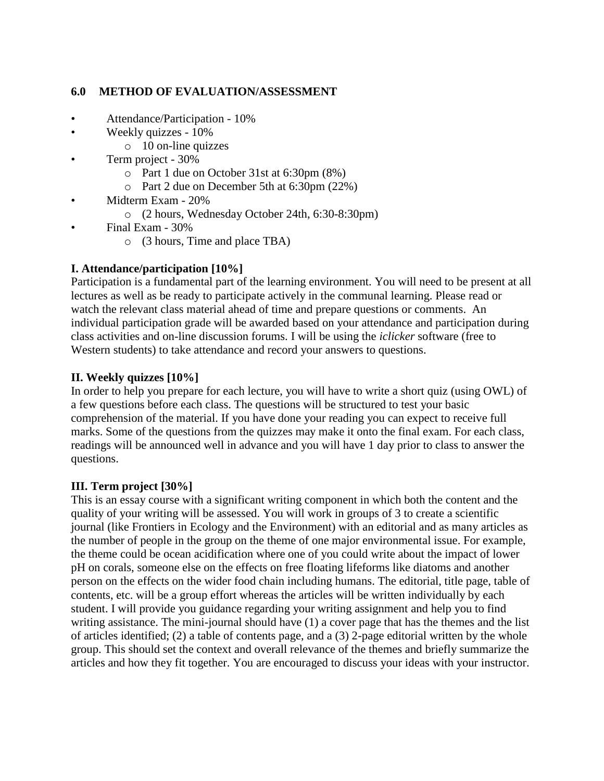## **6.0 METHOD OF EVALUATION/ASSESSMENT**

- Attendance/Participation 10%
- Weekly quizzes 10%
	- o 10 on-line quizzes
- Term project 30%
	- o Part 1 due on October 31st at 6:30pm (8%)
	- o Part 2 due on December 5th at 6:30pm (22%)
- Midterm Exam 20%
	- o (2 hours, Wednesday October 24th, 6:30-8:30pm)
- Final Exam 30%
	- o (3 hours, Time and place TBA)

# **I. Attendance/participation [10%]**

Participation is a fundamental part of the learning environment. You will need to be present at all lectures as well as be ready to participate actively in the communal learning. Please read or watch the relevant class material ahead of time and prepare questions or comments. An individual participation grade will be awarded based on your attendance and participation during class activities and on-line discussion forums. I will be using the *iclicker* software (free to Western students) to take attendance and record your answers to questions.

# **II. Weekly quizzes [10%]**

In order to help you prepare for each lecture, you will have to write a short quiz (using OWL) of a few questions before each class. The questions will be structured to test your basic comprehension of the material. If you have done your reading you can expect to receive full marks. Some of the questions from the quizzes may make it onto the final exam. For each class, readings will be announced well in advance and you will have 1 day prior to class to answer the questions.

# **III. Term project [30%]**

This is an essay course with a significant writing component in which both the content and the quality of your writing will be assessed. You will work in groups of 3 to create a scientific journal (like Frontiers in Ecology and the Environment) with an editorial and as many articles as the number of people in the group on the theme of one major environmental issue. For example, the theme could be ocean acidification where one of you could write about the impact of lower pH on corals, someone else on the effects on free floating lifeforms like diatoms and another person on the effects on the wider food chain including humans. The editorial, title page, table of contents, etc. will be a group effort whereas the articles will be written individually by each student. I will provide you guidance regarding your writing assignment and help you to find writing assistance. The mini-journal should have (1) a cover page that has the themes and the list of articles identified; (2) a table of contents page, and a (3) 2-page editorial written by the whole group. This should set the context and overall relevance of the themes and briefly summarize the articles and how they fit together. You are encouraged to discuss your ideas with your instructor.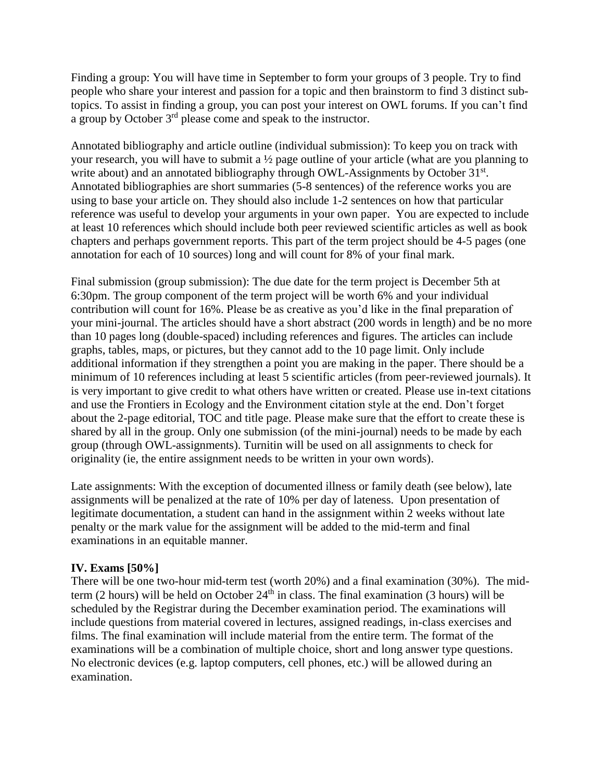Finding a group: You will have time in September to form your groups of 3 people. Try to find people who share your interest and passion for a topic and then brainstorm to find 3 distinct subtopics. To assist in finding a group, you can post your interest on OWL forums. If you can't find a group by October 3rd please come and speak to the instructor.

Annotated bibliography and article outline (individual submission): To keep you on track with your research, you will have to submit a ½ page outline of your article (what are you planning to write about) and an annotated bibliography through OWL-Assignments by October 31<sup>st</sup>. Annotated bibliographies are short summaries (5-8 sentences) of the reference works you are using to base your article on. They should also include 1-2 sentences on how that particular reference was useful to develop your arguments in your own paper. You are expected to include at least 10 references which should include both peer reviewed scientific articles as well as book chapters and perhaps government reports. This part of the term project should be 4-5 pages (one annotation for each of 10 sources) long and will count for 8% of your final mark.

Final submission (group submission): The due date for the term project is December 5th at 6:30pm. The group component of the term project will be worth 6% and your individual contribution will count for 16%. Please be as creative as you'd like in the final preparation of your mini-journal. The articles should have a short abstract (200 words in length) and be no more than 10 pages long (double-spaced) including references and figures. The articles can include graphs, tables, maps, or pictures, but they cannot add to the 10 page limit. Only include additional information if they strengthen a point you are making in the paper. There should be a minimum of 10 references including at least 5 scientific articles (from peer-reviewed journals). It is very important to give credit to what others have written or created. Please use in-text citations and use the Frontiers in Ecology and the Environment citation style at the end. Don't forget about the 2-page editorial, TOC and title page. Please make sure that the effort to create these is shared by all in the group. Only one submission (of the mini-journal) needs to be made by each group (through OWL-assignments). Turnitin will be used on all assignments to check for originality (ie, the entire assignment needs to be written in your own words).

Late assignments: With the exception of documented illness or family death (see below), late assignments will be penalized at the rate of 10% per day of lateness. Upon presentation of legitimate documentation, a student can hand in the assignment within 2 weeks without late penalty or the mark value for the assignment will be added to the mid-term and final examinations in an equitable manner.

#### **IV. Exams [50%]**

There will be one two-hour mid-term test (worth 20%) and a final examination (30%). The midterm (2 hours) will be held on October  $24<sup>th</sup>$  in class. The final examination (3 hours) will be scheduled by the Registrar during the December examination period. The examinations will include questions from material covered in lectures, assigned readings, in-class exercises and films. The final examination will include material from the entire term. The format of the examinations will be a combination of multiple choice, short and long answer type questions. No electronic devices (e.g. laptop computers, cell phones, etc.) will be allowed during an examination.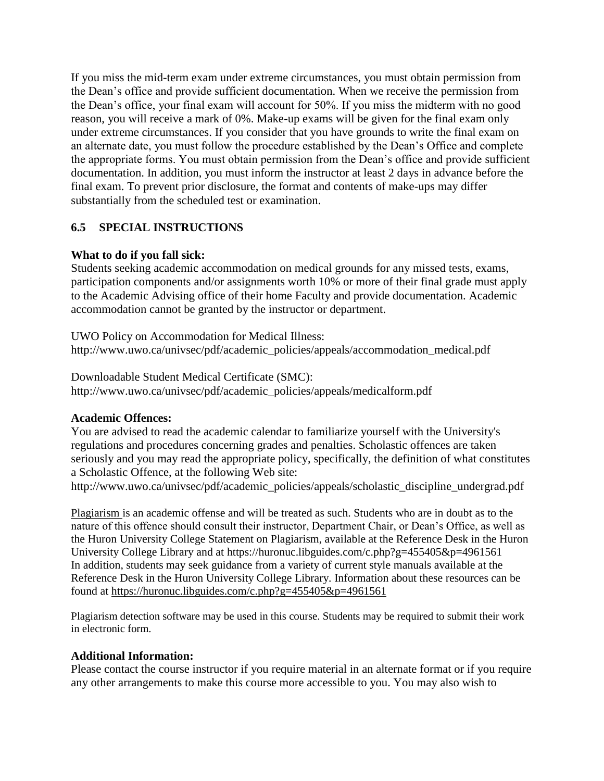If you miss the mid-term exam under extreme circumstances, you must obtain permission from the Dean's office and provide sufficient documentation. When we receive the permission from the Dean's office, your final exam will account for 50%. If you miss the midterm with no good reason, you will receive a mark of 0%. Make-up exams will be given for the final exam only under extreme circumstances. If you consider that you have grounds to write the final exam on an alternate date, you must follow the procedure established by the Dean's Office and complete the appropriate forms. You must obtain permission from the Dean's office and provide sufficient documentation. In addition, you must inform the instructor at least 2 days in advance before the final exam. To prevent prior disclosure, the format and contents of make-ups may differ substantially from the scheduled test or examination.

# **6.5 SPECIAL INSTRUCTIONS**

## **What to do if you fall sick:**

Students seeking academic accommodation on medical grounds for any missed tests, exams, participation components and/or assignments worth 10% or more of their final grade must apply to the Academic Advising office of their home Faculty and provide documentation. Academic accommodation cannot be granted by the instructor or department.

UWO Policy on Accommodation for Medical Illness: [http://www.uwo.ca/univsec/pdf/academic\\_policies/appeals/accommodation\\_medical.pdf](http://www.uwo.ca/univsec/pdf/academic_policies/appeals/accommodation_medical.pdf)

Downloadable Student Medical Certificate (SMC): http://www.uwo.ca/univsec/pdf/academic\_policies/appeals/medicalform.pdf

#### **Academic Offences:**

You are advised to read the academic calendar to familiarize yourself with the University's regulations and procedures concerning grades and penalties. Scholastic offences are taken seriously and you may read the appropriate policy, specifically, the definition of what constitutes a Scholastic Offence, at the following Web site:

http://www.uwo.ca/univsec/pdf/academic\_policies/appeals/scholastic\_discipline\_undergrad.pdf

Plagiarism is an academic offense and will be treated as such. Students who are in doubt as to the nature of this offence should consult their instructor, Department Chair, or Dean's Office, as well as the Huron University College Statement on Plagiarism, available at the Reference Desk in the Huron University College Library and at<https://huronuc.libguides.com/c.php?g=455405&p=4961561> In addition, students may seek guidance from a variety of current style manuals available at the Reference Desk in the Huron University College Library. Information about these resources can be found at https://huronuc.libguides.com/c.php?g=455405&p=4961561

Plagiarism detection software may be used in this course. Students may be required to submit their work in electronic form.

#### **Additional Information:**

Please contact the course instructor if you require material in an alternate format or if you require any other arrangements to make this course more accessible to you. You may also wish to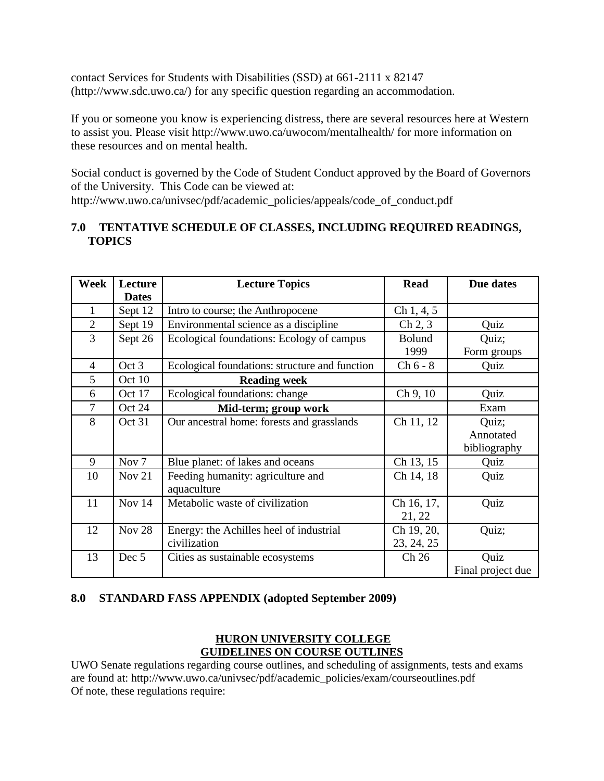contact Services for Students with Disabilities (SSD) at 661-2111 x 82147 (http://www.sdc.uwo.ca/) for any specific question regarding an accommodation.

If you or someone you know is experiencing distress, there are several resources here at Western to assist you. Please visit http://www.uwo.ca/uwocom/mentalhealth/ for more information on these resources and on mental health.

Social conduct is governed by the Code of Student Conduct approved by the Board of Governors of the University. This Code can be viewed at: http://www.uwo.ca/univsec/pdf/academic\_policies/appeals/code\_of\_conduct.pdf

# **7.0 TENTATIVE SCHEDULE OF CLASSES, INCLUDING REQUIRED READINGS, TOPICS**

| Week           | <b>Lecture</b>   | <b>Lecture Topics</b>                          | <b>Read</b>   | Due dates         |
|----------------|------------------|------------------------------------------------|---------------|-------------------|
|                | <b>Dates</b>     |                                                |               |                   |
| 1              | Sept 12          | Intro to course; the Anthropocene              | Ch 1, 4, 5    |                   |
| $\overline{2}$ | Sept 19          | Environmental science as a discipline          | Ch 2, 3       | Quiz              |
| $\overline{3}$ | Sept 26          | Ecological foundations: Ecology of campus      | <b>Bolund</b> | Quiz;             |
|                |                  |                                                | 1999          | Form groups       |
| $\overline{4}$ | Oct 3            | Ecological foundations: structure and function | $Ch 6 - 8$    | Quiz              |
| 5              | Oct 10           | <b>Reading week</b>                            |               |                   |
| 6              | Oct 17           | Ecological foundations: change                 | Ch 9, 10      | Quiz              |
| 7              | Oct 24           | Mid-term; group work                           |               | Exam              |
| 8              | Oct 31           | Our ancestral home: forests and grasslands     | Ch 11, 12     | Quiz;             |
|                |                  |                                                |               | Annotated         |
|                |                  |                                                |               | bibliography      |
| 9              | Nov <sub>7</sub> | Blue planet: of lakes and oceans               | Ch 13, 15     | Quiz              |
| 10             | Nov $21$         | Feeding humanity: agriculture and              | Ch 14, 18     | Quiz              |
|                |                  | aquaculture                                    |               |                   |
| 11             | Nov $14$         | Metabolic waste of civilization                | Ch 16, 17,    | Quiz              |
|                |                  |                                                | 21, 22        |                   |
| 12             | <b>Nov 28</b>    | Energy: the Achilles heel of industrial        | Ch 19, 20,    | Quiz;             |
|                |                  | civilization                                   | 23, 24, 25    |                   |
| 13             | Dec 5            | Cities as sustainable ecosystems               | Ch 26         | Quiz              |
|                |                  |                                                |               | Final project due |

# **8.0 STANDARD FASS APPENDIX (adopted September 2009)**

## **HURON UNIVERSITY COLLEGE GUIDELINES ON COURSE OUTLINES**

UWO Senate regulations regarding course outlines, and scheduling of assignments, tests and exams are found at: [http://www.uwo.ca/univsec/pdf/academic\\_policies/exam/courseoutlines.pdf](http://www.uwo.ca/univsec/pdf/academic_policies/exam/courseoutlines.pdf) Of note, these regulations require: